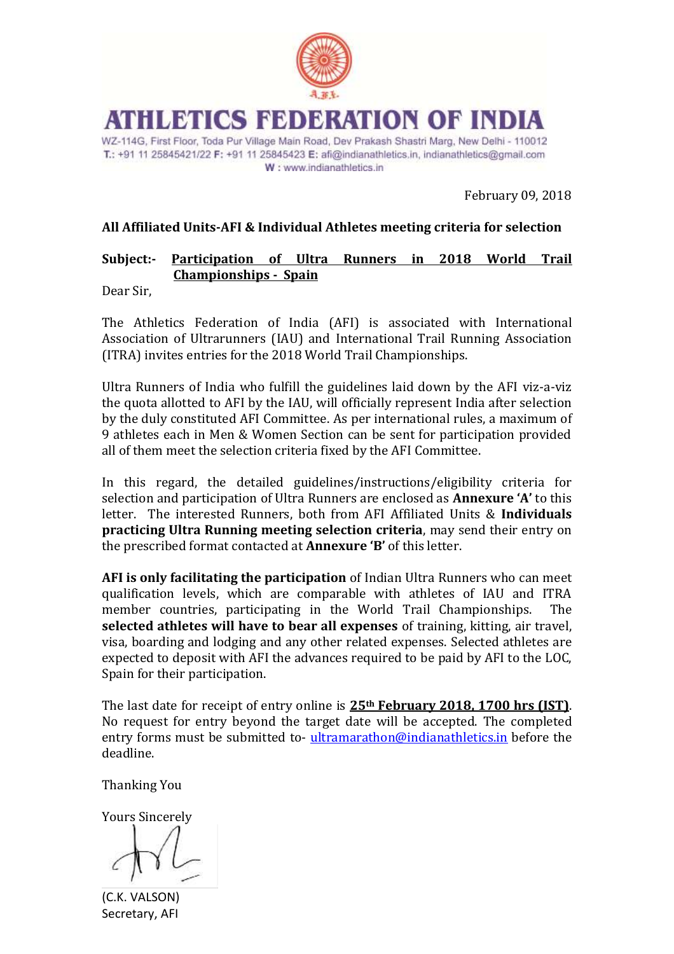

# **ATHLETICS FEDERATION OF INDIA**

WZ-114G, First Floor, Toda Pur Village Main Road, Dev Prakash Shastri Marg, New Delhi - 110012 T.: +91 11 25845421/22 F: +91 11 25845423 E: afi@indianathletics.in, indianathletics@gmail.com W: www.indianathletics.in

February 09, 2018

## **All Affiliated Units-AFI & Individual Athletes meeting criteria for selection**

## **Subject:- Participation of Ultra Runners in 2018 World Trail Championships - Spain**

Dear Sir,

The Athletics Federation of India (AFI) is associated with International Association of Ultrarunners (IAU) and International Trail Running Association (ITRA) invites entries for the 2018 World Trail Championships.

Ultra Runners of India who fulfill the guidelines laid down by the AFI viz-a-viz the quota allotted to AFI by the IAU, will officially represent India after selection by the duly constituted AFI Committee. As per international rules, a maximum of 9 athletes each in Men & Women Section can be sent for participation provided all of them meet the selection criteria fixed by the AFI Committee.

In this regard, the detailed guidelines/instructions/eligibility criteria for selection and participation of Ultra Runners are enclosed as **Annexure 'A'** to this letter. The interested Runners, both from AFI Affiliated Units & **Individuals practicing Ultra Running meeting selection criteria**, may send their entry on the prescribed format contacted at **Annexure 'B'** of this letter.

**AFI is only facilitating the participation** of Indian Ultra Runners who can meet qualification levels, which are comparable with athletes of IAU and ITRA member countries, participating in the World Trail Championships. The **selected athletes will have to bear all expenses** of training, kitting, air travel, visa, boarding and lodging and any other related expenses. Selected athletes are expected to deposit with AFI the advances required to be paid by AFI to the LOC, Spain for their participation.

The last date for receipt of entry online is **25th February 2018, 1700 hrs (IST)**. No request for entry beyond the target date will be accepted. The completed entry forms must be submitted to- [ultramarathon@indianathletics.in](mailto:ultramarathon@indianathletics.in) before the deadline.

Thanking You

Yours Sincerely

(C.K. VALSON) Secretary, AFI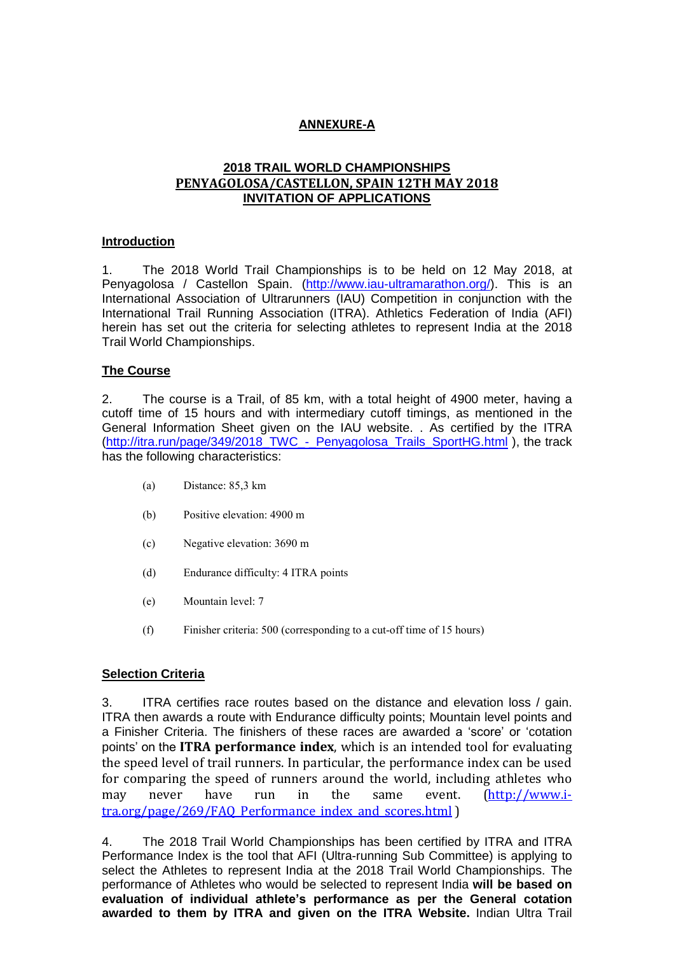#### **ANNEXURE-A**

#### **2018 TRAIL WORLD CHAMPIONSHIPS PENYAGOLOSA/CASTELLON, SPAIN 12TH MAY 2018 INVITATION OF APPLICATIONS**

#### **Introduction**

1. The 2018 World Trail Championships is to be held on 12 May 2018, at Penyagolosa / Castellon Spain. [\(http://www.iau-ultramarathon.org/\)](http://www.iau-ultramarathon.org/). This is an International Association of Ultrarunners (IAU) Competition in conjunction with the International Trail Running Association (ITRA). Athletics Federation of India (AFI) herein has set out the criteria for selecting athletes to represent India at the 2018 Trail World Championships.

#### **The Course**

2. The course is a Trail, of 85 km, with a total height of 4900 meter, having a cutoff time of 15 hours and with intermediary cutoff timings, as mentioned in the General Information Sheet given on the IAU website. . As certified by the ITRA [\(http://itra.run/page/349/2018\\_TWC\\_-\\_Penyagolosa\\_Trails\\_SportHG.html](http://itra.run/page/349/2018_TWC_-_Penyagolosa_Trails_SportHG.html) ), the track has the following characteristics:

- (a) Distance: 85,3 km
- (b) Positive elevation: 4900 m
- (c) Negative elevation: 3690 m
- (d) Endurance difficulty: 4 ITRA points
- (e) Mountain level: 7
- (f) Finisher criteria: 500 (corresponding to a cut-off time of 15 hours)

#### **Selection Criteria**

3. ITRA certifies race routes based on the distance and elevation loss / gain. ITRA then awards a route with Endurance difficulty points; Mountain level points and a Finisher Criteria. The finishers of these races are awarded a 'score' or 'cotation points' on the **ITRA performance index**, which is an intended tool for evaluating the speed level of trail runners. In particular, the performance index can be used for comparing the speed of runners around the world, including athletes who may never have run in the same event. [\(http://www.i](http://www.i-tra.org/page/269/FAQ_Performance_index_and_scores.html)[tra.org/page/269/FAQ\\_Performance\\_index\\_and\\_scores.html](http://www.i-tra.org/page/269/FAQ_Performance_index_and_scores.html) )

4. The 2018 Trail World Championships has been certified by ITRA and ITRA Performance Index is the tool that AFI (Ultra-running Sub Committee) is applying to select the Athletes to represent India at the 2018 Trail World Championships. The performance of Athletes who would be selected to represent India **will be based on evaluation of individual athlete's performance as per the General cotation awarded to them by ITRA and given on the ITRA Website.** Indian Ultra Trail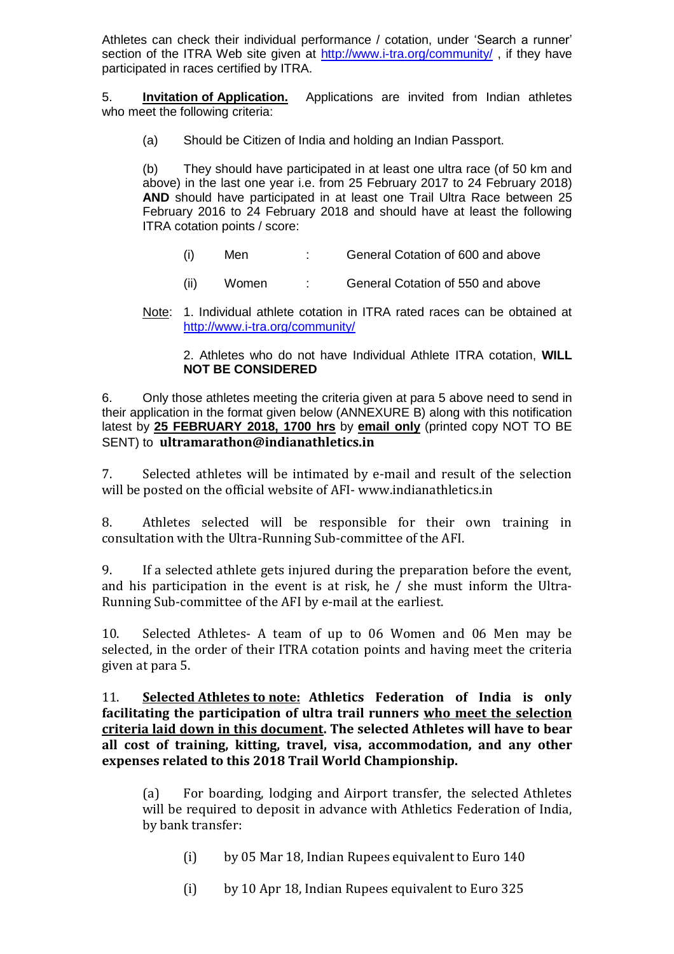Athletes can check their individual performance / cotation, under 'Search a runner' section of the ITRA Web site given at<http://www.i-tra.org/community/> , if they have participated in races certified by ITRA.

5. **Invitation of Application.** Applications are invited from Indian athletes who meet the following criteria:

(a) Should be Citizen of India and holding an Indian Passport.

(b) They should have participated in at least one ultra race (of 50 km and above) in the last one year i.e. from 25 February 2017 to 24 February 2018) **AND** should have participated in at least one Trail Ultra Race between 25 February 2016 to 24 February 2018 and should have at least the following ITRA cotation points / score:

- (i) Men : General Cotation of 600 and above
- (ii) Women : General Cotation of 550 and above
- Note: 1. Individual athlete cotation in ITRA rated races can be obtained at <http://www.i-tra.org/community/>

2. Athletes who do not have Individual Athlete ITRA cotation, **WILL NOT BE CONSIDERED**

6. Only those athletes meeting the criteria given at para 5 above need to send in their application in the format given below (ANNEXURE B) along with this notification latest by **25 FEBRUARY 2018, 1700 hrs** by **email only** (printed copy NOT TO BE SENT) to **ultramarathon@indianathletics.in**

7. Selected athletes will be intimated by e-mail and result of the selection will be posted on the official website of AFI- www.indianathletics.in

8. Athletes selected will be responsible for their own training in consultation with the Ultra-Running Sub-committee of the AFI.

9. If a selected athlete gets injured during the preparation before the event, and his participation in the event is at risk, he / she must inform the Ultra-Running Sub-committee of the AFI by e-mail at the earliest.

10. Selected Athletes- A team of up to 06 Women and 06 Men may be selected, in the order of their ITRA cotation points and having meet the criteria given at para 5.

11. **Selected Athletes to note: Athletics Federation of India is only facilitating the participation of ultra trail runners who meet the selection criteria laid down in this document. The selected Athletes will have to bear all cost of training, kitting, travel, visa, accommodation, and any other expenses related to this 2018 Trail World Championship.**

(a) For boarding, lodging and Airport transfer, the selected Athletes will be required to deposit in advance with Athletics Federation of India, by bank transfer:

(i) by 05 Mar 18, Indian Rupees equivalent to Euro 140

(i) by 10 Apr 18, Indian Rupees equivalent to Euro 325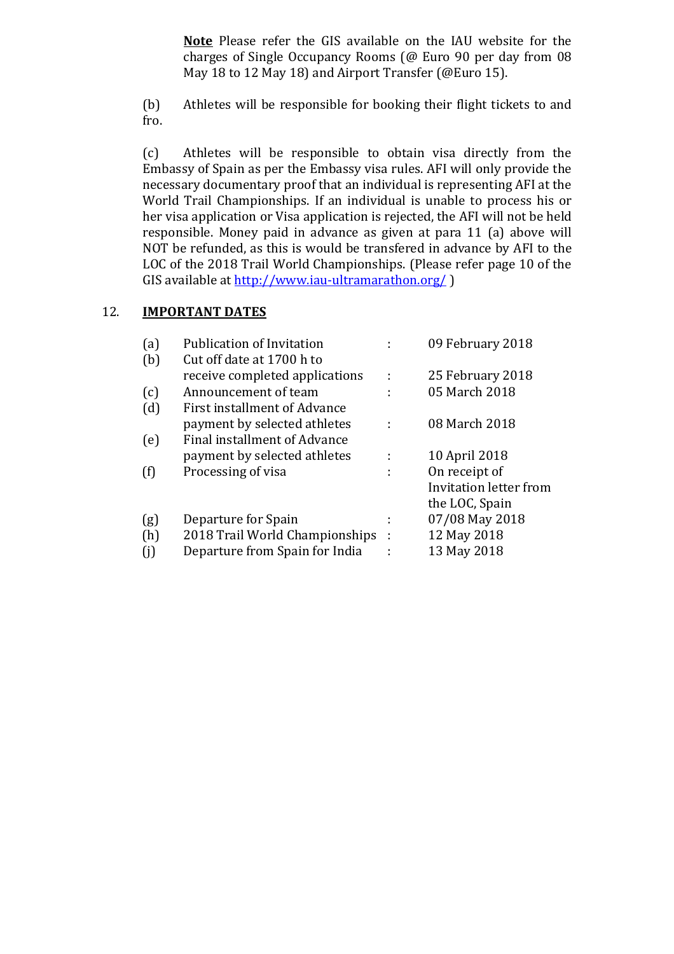**Note** Please refer the GIS available on the IAU website for the charges of Single Occupancy Rooms (@ Euro 90 per day from 08 May 18 to 12 May 18) and Airport Transfer (@Euro 15).

(b) Athletes will be responsible for booking their flight tickets to and fro.

(c) Athletes will be responsible to obtain visa directly from the Embassy of Spain as per the Embassy visa rules. AFI will only provide the necessary documentary proof that an individual is representing AFI at the World Trail Championships. If an individual is unable to process his or her visa application or Visa application is rejected, the AFI will not be held responsible. Money paid in advance as given at para 11 (a) above will NOT be refunded, as this is would be transfered in advance by AFI to the LOC of the 2018 Trail World Championships. (Please refer page 10 of the GIS available at<http://www.iau-ultramarathon.org/> )

### 12. **IMPORTANT DATES**

| (a) | <b>Publication of Invitation</b> |   | 09 February 2018       |
|-----|----------------------------------|---|------------------------|
| (b) | Cut off date at 1700 h to        |   |                        |
|     | receive completed applications   | ÷ | 25 February 2018       |
| (c) | Announcement of team             | ÷ | 05 March 2018          |
| (d) | First installment of Advance     |   |                        |
|     | payment by selected athletes     |   | 08 March 2018          |
| (e) | Final installment of Advance     |   |                        |
|     | payment by selected athletes     |   | 10 April 2018          |
| (f) | Processing of visa               | ÷ | On receipt of          |
|     |                                  |   | Invitation letter from |
|     |                                  |   | the LOC, Spain         |
| (g) | Departure for Spain              |   | 07/08 May 2018         |
| (h) | 2018 Trail World Championships   | ÷ | 12 May 2018            |
| (i) | Departure from Spain for India   |   | 13 May 2018            |
|     |                                  |   |                        |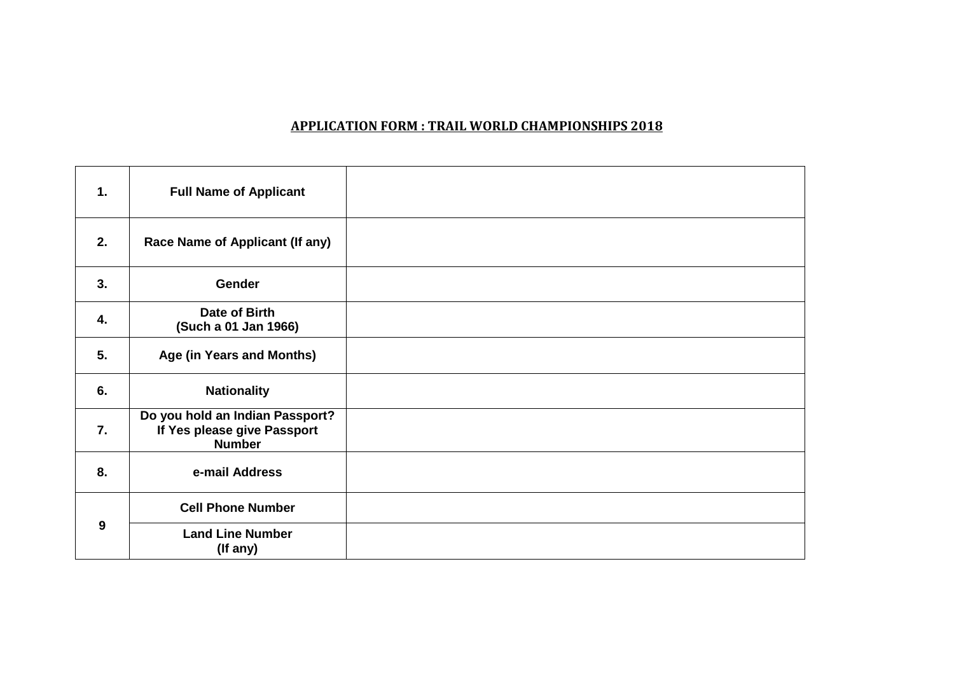#### **APPLICATION FORM : TRAIL WORLD CHAMPIONSHIPS 2018**

| 1.               | <b>Full Name of Applicant</b>                                                   |  |
|------------------|---------------------------------------------------------------------------------|--|
| 2.               | Race Name of Applicant (If any)                                                 |  |
| 3.               | <b>Gender</b>                                                                   |  |
| 4.               | Date of Birth<br>(Such a 01 Jan 1966)                                           |  |
| 5.               | Age (in Years and Months)                                                       |  |
| 6.               | <b>Nationality</b>                                                              |  |
| $\overline{7}$ . | Do you hold an Indian Passport?<br>If Yes please give Passport<br><b>Number</b> |  |
| 8.               | e-mail Address                                                                  |  |
| 9                | <b>Cell Phone Number</b>                                                        |  |
|                  | <b>Land Line Number</b><br>(If any)                                             |  |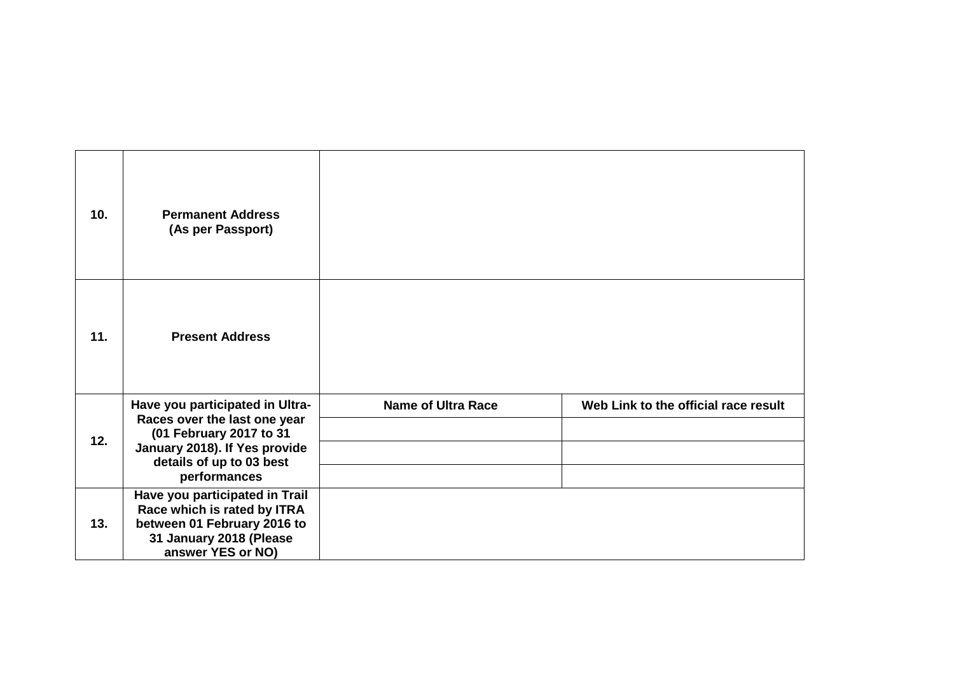| 10. | <b>Permanent Address</b><br>(As per Passport)                                                        |                           |                                      |
|-----|------------------------------------------------------------------------------------------------------|---------------------------|--------------------------------------|
| 11. | <b>Present Address</b>                                                                               |                           |                                      |
|     | Have you participated in Ultra-<br>Races over the last one year                                      | <b>Name of Ultra Race</b> | Web Link to the official race result |
| 12. | (01 February 2017 to 31<br>January 2018). If Yes provide<br>details of up to 03 best<br>performances |                           |                                      |
|     |                                                                                                      |                           |                                      |
|     | Have you participated in Trail<br>Race which is rated by ITRA                                        |                           |                                      |
| 13. | between 01 February 2016 to<br>31 January 2018 (Please<br>answer YES or NO)                          |                           |                                      |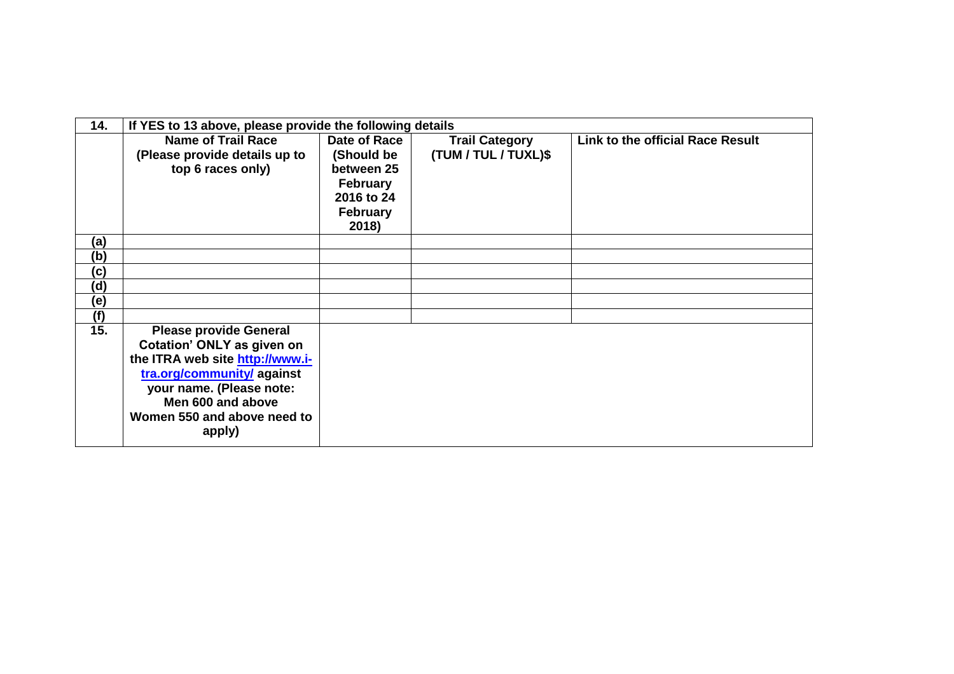| 14. | If YES to 13 above, please provide the following details |                 |                       |                                  |
|-----|----------------------------------------------------------|-----------------|-----------------------|----------------------------------|
|     | <b>Name of Trail Race</b>                                | Date of Race    | <b>Trail Category</b> | Link to the official Race Result |
|     | (Please provide details up to                            | (Should be      | (TUM / TUL / TUXL)\$  |                                  |
|     | top 6 races only)                                        | between 25      |                       |                                  |
|     |                                                          | <b>February</b> |                       |                                  |
|     |                                                          | 2016 to 24      |                       |                                  |
|     |                                                          | <b>February</b> |                       |                                  |
|     |                                                          | 2018)           |                       |                                  |
| (a) |                                                          |                 |                       |                                  |
| (b) |                                                          |                 |                       |                                  |
| (c) |                                                          |                 |                       |                                  |
| (d) |                                                          |                 |                       |                                  |
| (e) |                                                          |                 |                       |                                  |
| (f) |                                                          |                 |                       |                                  |
| 15. | <b>Please provide General</b>                            |                 |                       |                                  |
|     | Cotation' ONLY as given on                               |                 |                       |                                  |
|     | the ITRA web site http://www.i-                          |                 |                       |                                  |
|     | tra.org/community/ against                               |                 |                       |                                  |
|     | your name. (Please note:                                 |                 |                       |                                  |
|     | Men 600 and above                                        |                 |                       |                                  |
|     | Women 550 and above need to                              |                 |                       |                                  |
|     | apply)                                                   |                 |                       |                                  |